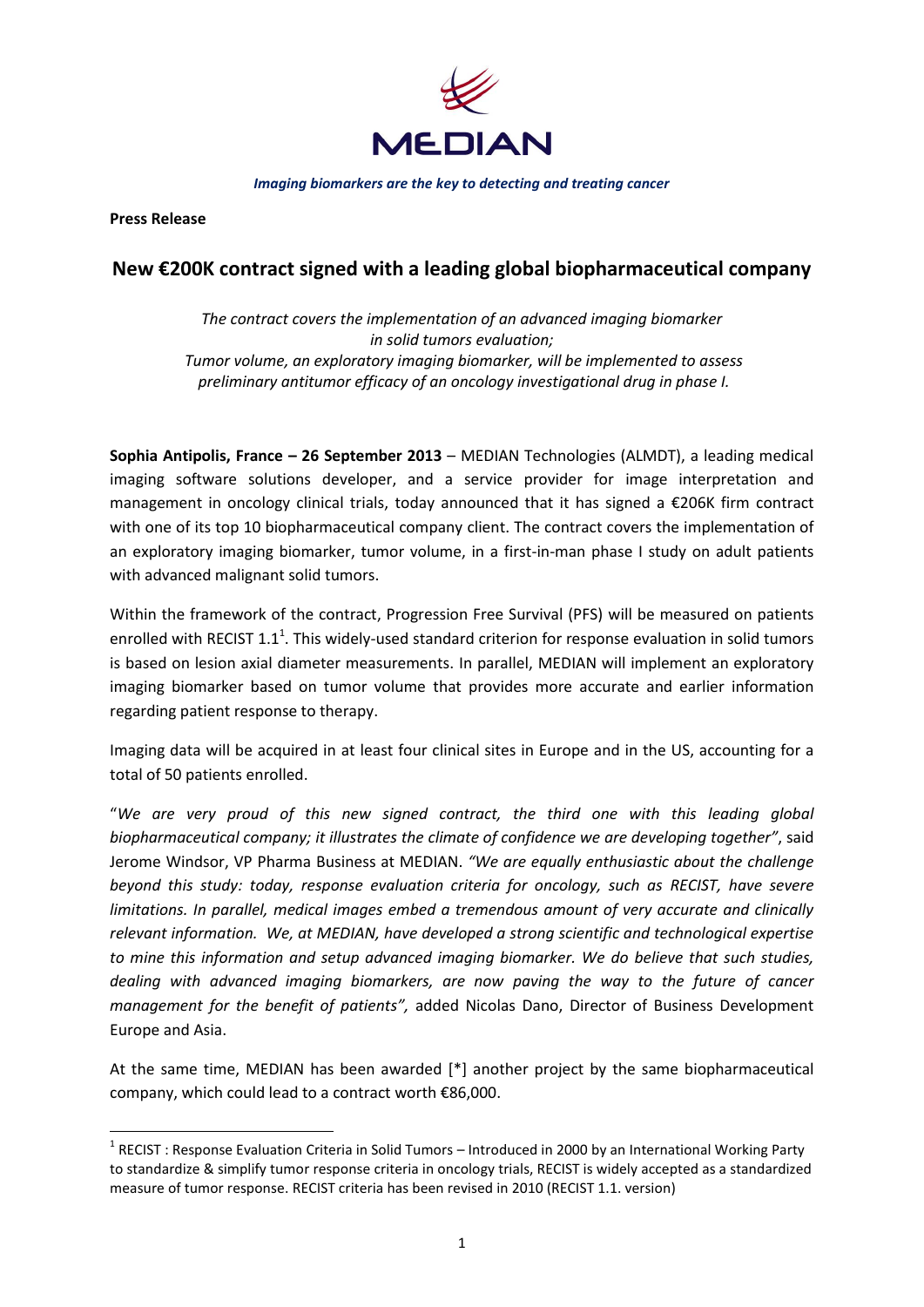

*Imaging biomarkers are the key to detecting and treating cancer*

**Press Release** 

**.** 

## **New €200K contract signed with a leading global biopharmaceutical company**

*The contract covers the implementation of an advanced imaging biomarker in solid tumors evaluation; Tumor volume, an exploratory imaging biomarker, will be implemented to assess preliminary antitumor efficacy of an oncology investigational drug in phase I.*

**Sophia Antipolis, France – 26 September 2013** – MEDIAN Technologies (ALMDT), a leading medical imaging software solutions developer, and a service provider for image interpretation and management in oncology clinical trials, today announced that it has signed a €206K firm contract with one of its top 10 biopharmaceutical company client. The contract covers the implementation of an exploratory imaging biomarker, tumor volume, in a first-in-man phase I study on adult patients with advanced malignant solid tumors.

Within the framework of the contract, Progression Free Survival (PFS) will be measured on patients enrolled with RECIST 1.1<sup>1</sup>. This widely-used standard criterion for response evaluation in solid tumors is based on lesion axial diameter measurements. In parallel, MEDIAN will implement an exploratory imaging biomarker based on tumor volume that provides more accurate and earlier information regarding patient response to therapy.

Imaging data will be acquired in at least four clinical sites in Europe and in the US, accounting for a total of 50 patients enrolled.

"*We are very proud of this new signed contract, the third one with this leading global biopharmaceutical company; it illustrates the climate of confidence we are developing together"*, said Jerome Windsor, VP Pharma Business at MEDIAN. *"We are equally enthusiastic about the challenge beyond this study: today, response evaluation criteria for oncology, such as RECIST, have severe limitations. In parallel, medical images embed a tremendous amount of very accurate and clinically relevant information. We, at MEDIAN, have developed a strong scientific and technological expertise to mine this information and setup advanced imaging biomarker. We do believe that such studies, dealing with advanced imaging biomarkers, are now paving the way to the future of cancer management for the benefit of patients",* added Nicolas Dano, Director of Business Development Europe and Asia.

At the same time, MEDIAN has been awarded [\*] another project by the same biopharmaceutical company, which could lead to a contract worth €86,000.

<sup>&</sup>lt;sup>1</sup> RECIST : Response Evaluation Criteria in Solid Tumors – Introduced in 2000 by an International Working Party to standardize & simplify tumor response criteria in oncology trials, RECIST is widely accepted as a standardized measure of tumor response. RECIST criteria has been revised in 2010 (RECIST 1.1. version)